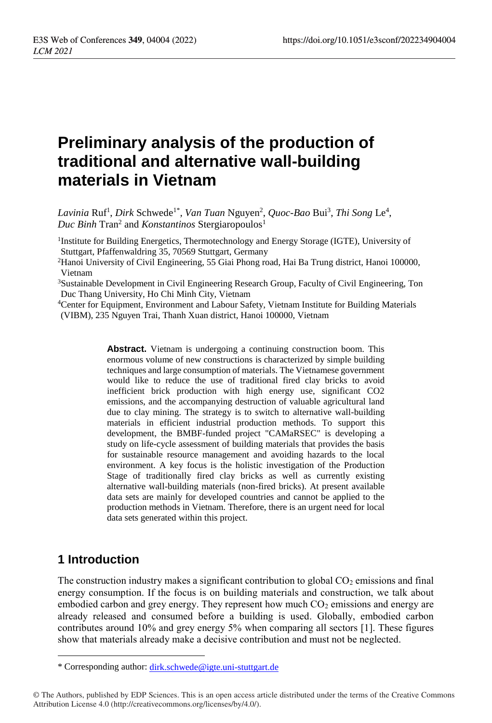# **Preliminary analysis of the production of traditional and alternative wall-building materials in Vietnam**

 $Lavinia \; Ruf^1, *Dirk* Schwede<sup>1*</sup>, *Van Tuan* Nguyen<sup>2</sup>, *Quoc-Bao* Bui<sup>3</sup>, *Thi Song* Le<sup>4</sup>,$ Duc Binh Tran<sup>2</sup> and *Konstantinos* Stergiaropoulos<sup>1</sup>

<sup>1</sup>Institute for Building Energetics, Thermotechnology and Energy Storage (IGTE), University of Stuttgart, Pfaffenwaldring 35, 70569 Stuttgart, Germany

<sup>2</sup>Hanoi University of Civil Engineering, 55 Giai Phong road, Hai Ba Trung district, Hanoi 100000, Vietnam

<sup>3</sup>Sustainable Development in Civil Engineering Research Group, Faculty of Civil Engineering, Ton Duc Thang University, Ho Chi Minh City, Vietnam

<sup>4</sup>Center for Equipment, Environment and Labour Safety, Vietnam Institute for Building Materials (VIBM), 235 Nguyen Trai, Thanh Xuan district, Hanoi 100000, Vietnam

> Abstract. Vietnam is undergoing a continuing construction boom. This enormous volume of new constructions is characterized by simple building techniques and large consumption of materials. The Vietnamese government would like to reduce the use of traditional fired clay bricks to avoid inefficient brick production with high energy use, significant CO2 emissions, and the accompanying destruction of valuable agricultural land due to clay mining. The strategy is to switch to alternative wall-building materials in efficient industrial production methods. To support this development, the BMBF-funded project "CAMaRSEC" is developing a study on life-cycle assessment of building materials that provides the basis for sustainable resource management and avoiding hazards to the local environment. A key focus is the holistic investigation of the Production Stage of traditionally fired clay bricks as well as currently existing alternative wall-building materials (non-fired bricks). At present available data sets are mainly for developed countries and cannot be applied to the production methods in Vietnam. Therefore, there is an urgent need for local data sets generated within this project.

## **1 Introduction**

 $\overline{a}$ 

The construction industry makes a significant contribution to global  $CO<sub>2</sub>$  emissions and final energy consumption. If the focus is on building materials and construction, we talk about embodied carbon and grey energy. They represent how much  $CO<sub>2</sub>$  emissions and energy are already released and consumed before a building is used. Globally, embodied carbon contributes around 10% and grey energy 5% when comparing all sectors [\[1\]](#page-5-0). These figures show that materials already make a decisive contribution and must not be neglected.

<sup>\*</sup> Corresponding author: [dirk.schwede@igte.uni-stuttgart.de](mailto:dirk.schwede@igte.uni-stuttgart.de)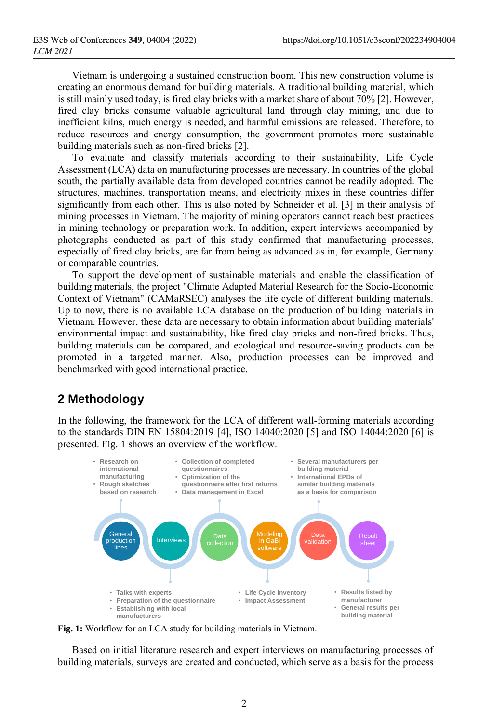Vietnam is undergoing a sustained construction boom. This new construction volume is creating an enormous demand for building materials. A traditional building material, which is still mainly used today, is fired clay bricks with a market share of about 70% [\[2\]](#page-5-1). However, fired clay bricks consume valuable agricultural land through clay mining, and due to inefficient kilns, much energy is needed, and harmful emissions are released. Therefore, to reduce resources and energy consumption, the government promotes more sustainable building materials such as non-fired bricks [\[2\]](#page-5-1).

To evaluate and classify materials according to their sustainability, Life Cycle Assessment (LCA) data on manufacturing processes are necessary. In countries of the global south, the partially available data from developed countries cannot be readily adopted. The structures, machines, transportation means, and electricity mixes in these countries differ significantly from each other. This is also noted by Schneider et al. [\[3\]](#page-5-2) in their analysis of mining processes in Vietnam. The majority of mining operators cannot reach best practices in mining technology or preparation work. In addition, expert interviews accompanied by photographs conducted as part of this study confirmed that manufacturing processes, especially of fired clay bricks, are far from being as advanced as in, for example, Germany or comparable countries.

To support the development of sustainable materials and enable the classification of building materials, the project "Climate Adapted Material Research for the Socio-Economic Context of Vietnam" (CAMaRSEC) analyses the life cycle of different building materials. Up to now, there is no available LCA database on the production of building materials in Vietnam. However, these data are necessary to obtain information about building materials' environmental impact and sustainability, like fired clay bricks and non-fired bricks. Thus, building materials can be compared, and ecological and resource-saving products can be promoted in a targeted manner. Also, production processes can be improved and benchmarked with good international practice.

### **2 Methodology**

In the following, the framework for the LCA of different wall-forming materials according to the standards DIN EN 15804:2019 [\[4\]](#page-5-3), ISO 14040:2020 [\[5\]](#page-5-4) and ISO 14044:2020 [\[6\]](#page-5-5) is presented. [Fig.](#page-1-0) 1 shows an overview of the workflow.



<span id="page-1-0"></span>**Fig. 1:** Workflow for an LCA study for building materials in Vietnam.

Based on initial literature research and expert interviews on manufacturing processes of building materials, surveys are created and conducted, which serve as a basis for the process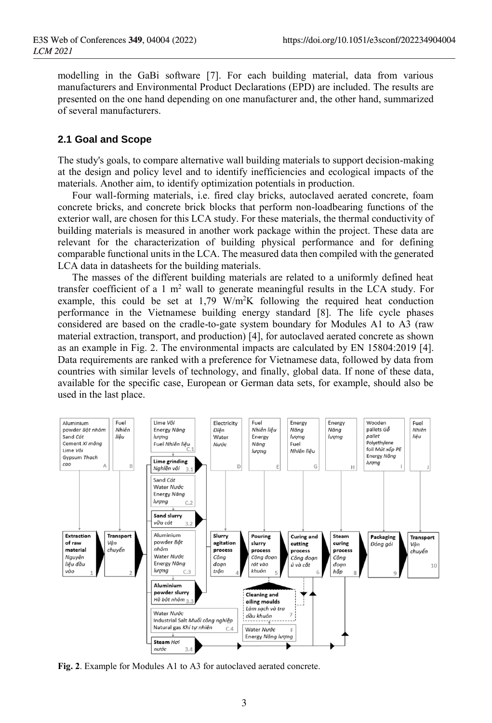modelling in the GaBi software [\[7\]](#page-5-6). For each building material, data from various manufacturers and Environmental Product Declarations (EPD) are included. The results are presented on the one hand depending on one manufacturer and, the other hand, summarized of several manufacturers.

#### <span id="page-2-1"></span>**2.1 Goal and Scope**

The study's goals, to compare alternative wall building materials to support decision-making at the design and policy level and to identify inefficiencies and ecological impacts of the materials. Another aim, to identify optimization potentials in production.

Four wall-forming materials, i.e. fired clay bricks, autoclaved aerated concrete, foam concrete bricks, and concrete brick blocks that perform non-loadbearing functions of the exterior wall, are chosen for this LCA study. For these materials, the thermal conductivity of building materials is measured in another work package within the project. These data are relevant for the characterization of building physical performance and for defining comparable functional units in the LCA. The measured data then compiled with the generated LCA data in datasheets for the building materials.

The masses of the different building materials are related to a uniformly defined heat transfer coefficient of a 1  $m<sup>2</sup>$  wall to generate meaningful results in the LCA study. For example, this could be set at  $1.79 \text{ W/m}^2\text{K}$  following the required heat conduction performance in the Vietnamese building energy standard [\[8\]](#page-5-7). The life cycle phases considered are based on the cradle-to-gate system boundary for Modules A1 to A3 (raw material extraction, transport, and production) [\[4\]](#page-5-3), for autoclaved aerated concrete as shown as an example in [Fig. 2.](#page-2-0) The environmental impacts are calculated by EN 15804:2019 [\[4\]](#page-5-3). Data requirements are ranked with a preference for Vietnamese data, followed by data from countries with similar levels of technology, and finally, global data. If none of these data, available for the specific case, European or German data sets, for example, should also be used in the last place.



<span id="page-2-0"></span>**Fig. 2**. Example for Modules A1 to A3 for autoclaved aerated concrete.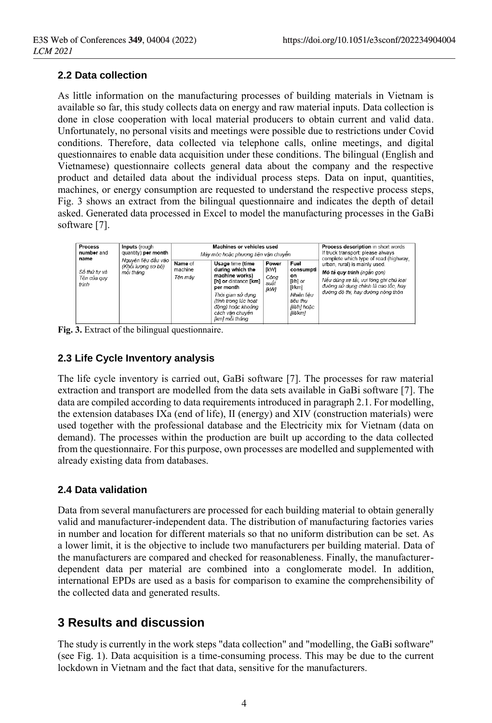#### **2.2 Data collection**

As little information on the manufacturing processes of building materials in Vietnam is available so far, this study collects data on energy and raw material inputs. Data collection is done in close cooperation with local material producers to obtain current and valid data. Unfortunately, no personal visits and meetings were possible due to restrictions under Covid conditions. Therefore, data collected via telephone calls, online meetings, and digital questionnaires to enable data acquisition under these conditions. The bilingual (English and Vietnamese) questionnaire collects general data about the company and the respective product and detailed data about the individual process steps. Data on input, quantities, machines, or energy consumption are requested to understand the respective process steps, [Fig. 3](#page-3-0) shows an extract from the bilingual questionnaire and indicates the depth of detail asked. Generated data processed in Excel to model the manufacturing processes in the GaBi software [\[7\]](#page-5-6).

| <b>Process</b><br>number and<br>name | Inputs (rough<br>quantity) per month                   |                               | Machines or vehicles used<br>Máv móc hoặc phương tiên vân chuyên                                                                                                                                   | Process description in short words<br>If truck transport: please always<br>complete which type of road (highway, |                                                                                                     |                                                                                                                                                                                   |
|--------------------------------------|--------------------------------------------------------|-------------------------------|----------------------------------------------------------------------------------------------------------------------------------------------------------------------------------------------------|------------------------------------------------------------------------------------------------------------------|-----------------------------------------------------------------------------------------------------|-----------------------------------------------------------------------------------------------------------------------------------------------------------------------------------|
| Số thứ tư và<br>Tên của guy<br>trình | Nguyên liêu đầu vào<br>(Khôi lương sơ bô)<br>mỗi tháng | Name of<br>machine<br>Tên máv | Usage time (time<br>during which the<br>machine works)<br>[h] or distance [km]<br>per month<br>Thời gian sử dung<br>(tính trong lúc hoat<br>đôna) hoặc khoảna<br>cách vân chuyên<br>lkml mỗi tháng | Power<br>[kW]<br>Côna<br>suất<br><b>IkWI</b>                                                                     | Fuel<br>consumpti<br>on<br>[I/h] or<br>[1/km]<br>Nhiên liêu<br>tiêu thu<br>llít/h1 hoăc<br>[lít/km] | urban, rural) is mainly used.<br>Mô tả quy trình (ngắn gọn)<br>Nếu dùng xe tải, vui lòng ghi chú loại<br>đường sử dụng chính là cao tốc, hay<br>đường đô thi, hay đường nông thôn |

<span id="page-3-0"></span>**Fig. 3.** Extract of the bilingual questionnaire.

#### **2.3 Life Cycle Inventory analysis**

The life cycle inventory is carried out, GaBi software [\[7\]](#page-5-6). The processes for raw material extraction and transport are modelled from the data sets available in GaBi software [\[7\]](#page-5-6). The data are compiled according to data requirements introduced in paragraph [2.1.](#page-2-1) For modelling, the extension databases IXa (end of life), II (energy) and XIV (construction materials) were used together with the professional database and the Electricity mix for Vietnam (data on demand). The processes within the production are built up according to the data collected from the questionnaire. For this purpose, own processes are modelled and supplemented with already existing data from databases.

#### **2.4 Data validation**

Data from several manufacturers are processed for each building material to obtain generally valid and manufacturer-independent data. The distribution of manufacturing factories varies in number and location for different materials so that no uniform distribution can be set. As a lower limit, it is the objective to include two manufacturers per building material. Data of the manufacturers are compared and checked for reasonableness. Finally, the manufacturerdependent data per material are combined into a conglomerate model. In addition, international EPDs are used as a basis for comparison to examine the comprehensibility of the collected data and generated results.

## **3 Results and discussion**

The study is currently in the work steps "data collection" and "modelling, the GaBi software" (see [Fig. 1](#page-1-0)). Data acquisition is a time-consuming process. This may be due to the current lockdown in Vietnam and the fact that data, sensitive for the manufacturers.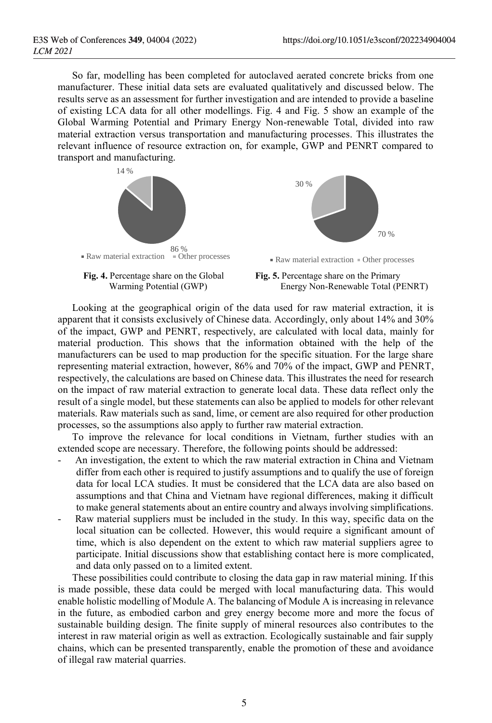So far, modelling has been completed for autoclaved aerated concrete bricks from one manufacturer. These initial data sets are evaluated qualitatively and discussed below. The results serve as an assessment for further investigation and are intended to provide a baseline of existing LCA data for all other modellings. [Fig. 4](#page-4-0) and [Fig. 5](#page-4-1) show an example of the Global Warming Potential and Primary Energy Non-renewable Total, divided into raw material extraction versus transportation and manufacturing processes. This illustrates the relevant influence of resource extraction on, for example, GWP and PENRT compared to transport and manufacturing.



<span id="page-4-0"></span>



 $\blacksquare$  Raw material extraction  $\blacksquare$  Other processes

<span id="page-4-1"></span>**Fig. 5.** Percentage share on the Primary Energy Non-Renewable Total (PENRT)

Looking at the geographical origin of the data used for raw material extraction, it is apparent that it consists exclusively of Chinese data. Accordingly, only about 14% and 30% of the impact, GWP and PENRT, respectively, are calculated with local data, mainly for material production. This shows that the information obtained with the help of the manufacturers can be used to map production for the specific situation. For the large share representing material extraction, however, 86% and 70% of the impact, GWP and PENRT, respectively, the calculations are based on Chinese data. This illustrates the need for research on the impact of raw material extraction to generate local data. These data reflect only the result of a single model, but these statements can also be applied to models for other relevant materials. Raw materials such as sand, lime, or cement are also required for other production processes, so the assumptions also apply to further raw material extraction.

To improve the relevance for local conditions in Vietnam, further studies with an extended scope are necessary. Therefore, the following points should be addressed:

- An investigation, the extent to which the raw material extraction in China and Vietnam differ from each other is required to justify assumptions and to qualify the use of foreign data for local LCA studies. It must be considered that the LCA data are also based on assumptions and that China and Vietnam have regional differences, making it difficult to make general statements about an entire country and always involving simplifications.
- Raw material suppliers must be included in the study. In this way, specific data on the local situation can be collected. However, this would require a significant amount of time, which is also dependent on the extent to which raw material suppliers agree to participate. Initial discussions show that establishing contact here is more complicated, and data only passed on to a limited extent.

These possibilities could contribute to closing the data gap in raw material mining. If this is made possible, these data could be merged with local manufacturing data. This would enable holistic modelling of Module A. The balancing of Module A is increasing in relevance in the future, as embodied carbon and grey energy become more and more the focus of sustainable building design. The finite supply of mineral resources also contributes to the interest in raw material origin as well as extraction. Ecologically sustainable and fair supply chains, which can be presented transparently, enable the promotion of these and avoidance of illegal raw material quarries.